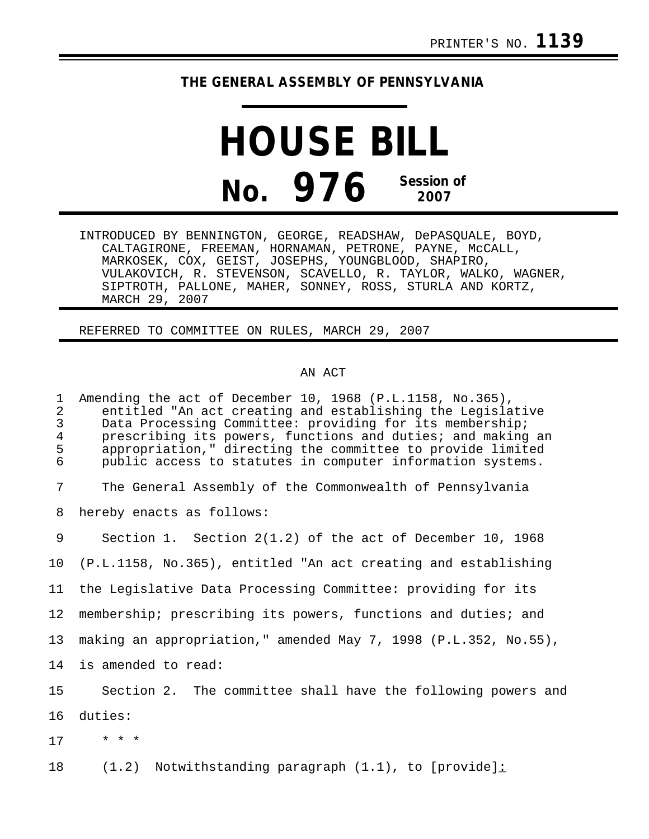## **THE GENERAL ASSEMBLY OF PENNSYLVANIA**

## **HOUSE BILL No. 976 Session of 2007**

INTRODUCED BY BENNINGTON, GEORGE, READSHAW, DePASQUALE, BOYD, CALTAGIRONE, FREEMAN, HORNAMAN, PETRONE, PAYNE, McCALL, MARKOSEK, COX, GEIST, JOSEPHS, YOUNGBLOOD, SHAPIRO, VULAKOVICH, R. STEVENSON, SCAVELLO, R. TAYLOR, WALKO, WAGNER, SIPTROTH, PALLONE, MAHER, SONNEY, ROSS, STURLA AND KORTZ, MARCH 29, 2007

REFERRED TO COMMITTEE ON RULES, MARCH 29, 2007

## AN ACT

1 Amending the act of December 10, 1968 (P.L.1158, No.365), 2 entitled "An act creating and establishing the Legislative<br>3 Data Processing Committee: providing for its membership; 3 Data Processing Committee: providing for its membership;<br>4 prescribing its powers, functions and duties; and making 4 prescribing its powers, functions and duties; and making an<br>5 appropriation," directing the committee to provide limited 5 appropriation," directing the committee to provide limited<br>6 bublic access to statutes in computer information systems. public access to statutes in computer information systems. 7 The General Assembly of the Commonwealth of Pennsylvania 8 hereby enacts as follows: 9 Section 1. Section 2(1.2) of the act of December 10, 1968 10 (P.L.1158, No.365), entitled "An act creating and establishing 11 the Legislative Data Processing Committee: providing for its 12 membership; prescribing its powers, functions and duties; and 13 making an appropriation," amended May 7, 1998 (P.L.352, No.55), 14 is amended to read: 15 Section 2. The committee shall have the following powers and 16 duties: 17 \* \* \* 18 (1.2) Notwithstanding paragraph (1.1), to [provide]: